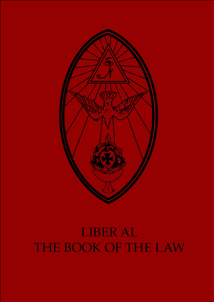

# **LIBER AL** THE BOOK OF THE LAW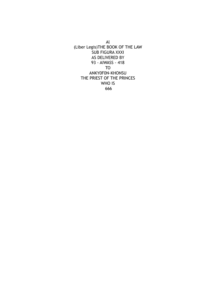Al (Liber Legis)THE BOOK OF THE LAW SUB FIGURA XXXI AS DELIVERED BY 93 - AIWASS - 418 TO ANKY0F0N-KHONSU THE PRIEST OF THE PRINCES WHO IS 666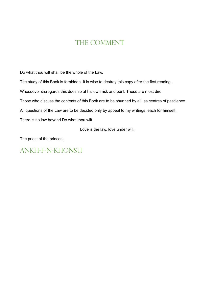#### THE COMMENT

Do what thou wilt shall be the whole of the Law.

The study of this Book is forbidden. It is wise to destroy this copy after the first reading.

Whosoever disregards this does so at his own risk and peril. These are most dire.

Those who discuss the contents of this Book are to be shunned by all, as centres of pestilence.

All questions of the Law are to be decided only by appeal to my writings, each for himself.

There is no law beyond Do what thou wilt.

Love is the law, love under will.

The priest of the princes,

#### ANKH-F-N-KHONSU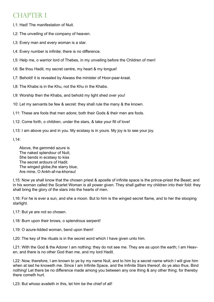# CHAPTER I

I,1: Had! The manifestation of Nuit.

I,2: The unveiling of the company of heaven.

I,3: Every man and every woman is a star.

I,4: Every number is infinite; there is no difference.

I,5: Help me, o warrior lord of Thebes, in my unveiling before the Children of men!

I,6: Be thou Hadit, my secret centre, my heart & my tongue!

I,7: Behold! it is revealed by Aiwass the minister of Hoor-paar-kraat.

I,8: The Khabs is in the Khu, not the Khu in the Khabs.

I,9: Worship then the Khabs, and behold my light shed over you!

10: Let my servants be few & secret: they shall rule the many & the known.

I,11: These are fools that men adore; both their Gods & their men are fools.

I,12: Come forth, o children, under the stars, & take your fill of love!

I,13: I am above you and in you. My ecstasy is in yours. My joy is to see your joy.

I,14:

Above, the gemméd azure is The naked splendour of Nuit; She bends in ecstasy to kiss The secret ardours of Hadit. The winged globe,the starry blue, Are mine, O Ankh-af-na-khonsu!

I,15: Now ye shall know that the chosen priest & apostle of infinite space is the prince-priest the Beast; and in his woman called the Scarlet Woman is all power given. They shall gather my children into their fold: they shall bring the glory of the stars into the hearts of men.

I,16: For he is ever a sun, and she a moon. But to him is the winged secret flame, and to her the stooping starlight.

I,17: But ye are not so chosen.

I,18: Burn upon their brows, o splendrous serpent!

I,19: O azure-lidded woman, bend upon them!

I,20: The key of the rituals is in the secret word which I have given unto him.

I,21: With the God & the Adorer I am nothing: they do not see me. They are as upon the earth; I am Heaven, and there is no other God than me, and my lord Hadit.

I,22: Now, therefore, I am known to ye by my name Nuit, and to him by a secret name which I will give him when at last he knoweth me. Since I am Infinite Space, and the Infinite Stars thereof, do ye also thus. Bind nothing! Let there be no difference made among you between any one thing & any other thing; for thereby there cometh hurt.

I,23: But whoso availeth in this, let him be the chief of all!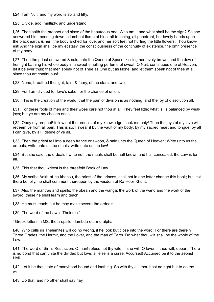I,24: I am Nuit, and my word is six and fifty.

I,25: Divide, add, multiply, and understand.

I,26: Then saith the prophet and slave of the beauteous one: Who am I, and what shall be the sign? So she answered him, bending down, a lambent flame of blue, all-touching, all penetrant, her lovely hands upon the black earth, & her lithe body arched for love, and her soft feet not hurting the little flowers: Thou knowest! And the sign shall be my ecstasy, the consciousness of the continuity of existence, the omnipresence of my body.

I,27: Then the priest answered & said unto the Queen of Space, kissing her lovely brows, and the dew of her light bathing his whole body in a sweet-smelling perfume of sweat: O Nuit, continuous one of Heaven, let it be ever thus; that men speak not of Thee as One but as None; and let them speak not of thee at all, since thou art continuous!

I,28: None, breathed the light, faint & faery, of the stars, and two.

I,29: For I am divided for love's sake, for the chance of union.

I,30: This is the creation of the world, that the pain of division is as nothing, and the joy of dissolution all.

I,31: For these fools of men and their woes care not thou at all! They feel little; what is, is balanced by weak joys; but ye are my chosen ones.

I,32: Obey my prophet! follow out the ordeals of my knowledge! seek me only! Then the joys of my love will redeem ye from all pain. This is so: I swear it by the vault of my body; by my sacred heart and tongue; by all I can give, by all I desire of ye all.

I,33: Then the priest fell into a deep trance or swoon, & said unto the Queen of Heaven; Write unto us the ordeals; write unto us the rituals; write unto us the law!

I,34: But she said: the ordeals I write not: the rituals shall be half known and half concealed: the Law is for all.

I,35: This that thou writest is the threefold Book of Law.

I,36: My scribe Ankh-af-na-khonsu, the priest of the princes, shall not in one letter change this book; but lest there be folly, he shall comment thereupon by the wisdom of Ra-Hoor-Khu-it.

I,37: Also the mantras and spells; the obeah and the wanga; the work of the wand and the work of the sword; these he shall learn and teach.

I,38: He must teach; but he may make severe the ordeals.

I,39: The word of the Law is Thelema.\*

\* Greek letters in MS: theta-epsilon-lambda-eta-mu-alpha.

I,40: Who calls us Thelemites will do no wrong, if he look but close into the word. For there are therein Three Grades, the Hermit, and the Lover, and the man of Earth. Do what thou wilt shall be the whole of the Law.

I,41: The word of Sin is Restriction. O man! refuse not thy wife, if she will! O lover, if thou wilt, depart! There is no bond that can unite the divided but love: all else is a curse. Accursed! Accursed be it to the aeons! Hell.

I,42: Let it be that state of manyhood bound and loathing. So with thy all; thou hast no right but to do thy will.

I,43: Do that, and no other shall say nay.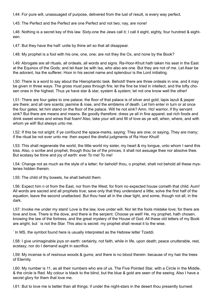I,44: For pure will, unassuaged of purpose, delivered from the lust of result, is every way perfect.

I,45: The Perfect and the Perfect are one Perfect and not two; nay, are none!

I,46: Nothing is a secret key of this law. Sixty-one the Jews call it; I call it eight, eighty, four hundred & eighteen.

I,47: But they have the half: unite by thine art so that all disappear.

I,48: My prophet is a fool with his one, one, one; are not they the Ox, and none by the Book?

I,49: Abrogate are all rituals, all ordeals, all words and signs. Ra-Hoor-Khuit hath taken his seat in the East at the Equinox of the Gods; and let Asar be with Isa, who also are one. But they are not of me. Let Asar be the adorant, Isa the sufferer; Hoor in his secret name and splendour is the Lord initiating.

I,50: There is a word to say about the Hierophantic task. Behold! there are three ordeals in one, and it may be given in three ways. The gross must pass through fire; let the fine be tried in intellect, and the lofty chosen ones in the highest. Thus ye have star & star, system & system; let not one know well the other!

I,51: There are four gates to one palace; the floor of that palace is of silver and gold; lapis lazuli & jasper are there; and all rare scents; jasmine & rose, and the emblems of death. Let him enter in turn or at once the four gates; let him stand on the floor of the palace. Will he not sink? Amn. Ho! warrior, if thy servant sink? But there are means and means. Be goodly therefore: dress ye all in fine apparel; eat rich foods and drink sweet wines and wines that foam! Also, take your will and fill of love as ye will, when, where, and with whom ye will! But always unto me.

I,52: If this be not aright; if ye confound the space-marks, saying: They are one; or saying, They are many; if the ritual be not ever unto me: then expect the direful judgments of Ra Hoor Khuit!

I,53: This shall regenerate the world, the little world my sister, my heart & my tongue, unto whom I send this kiss. Also, o scribe and prophet, though thou be of the princes, it shall not assuage thee nor absolve thee. But ecstasy be thine and joy of earth: ever To me! To me!

I,54: Change not as much as the style of a letter; for behold! thou, o prophet, shalt not behold all these mysteries hidden therein.

I,55: The child of thy bowels, he shall behold them.

I,56: Expect him n ot from the East, nor from the West; for from no expected house cometh that child. Aum! All words are sacred and all prophets true; save only that they understand a little; solve the first half of the equation, leave the second unattacked. But thou hast all in the clear light, and some, though not all, in the dark.

I,57: Invoke me under my stars! Love is the law, love under will. Nor let the fools mistake love; for there are love and love. There is the dove, and there is the serpent. Choose ye well! He, my prophet, hath chosen, knowing the law of the fortress, and the great mystery of the House of God. All these old letters of my Book are aright; but \* is not the Star. This also is secret: my prophet shall reveal it to the wise.

\* In MS, the symbol found here is usually interpreted as the Hebrew letter Tzaddi.

I,58: I give unimaginable joys on earth: certainty, not faith, while in life, upon death; peace unutterable, rest, ecstasy; nor do I demand aught in sacrifice.

I,59: My incense is of resinous woods & gums; and there is no blood therein: because of my hair the trees of Eternity.

I,60: My number is 11, as all their numbers who are of us. The Five Pointed Star, with a Circle in the Middle, & the circle is Red. My colour is black to the blind, but the blue & gold are seen of the seeing. Also I have a secret glory for them that love me.

I,61: But to love me is better than all things: if under the night-stars in the desert thou presently burnest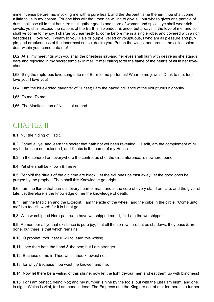mine incense before me, invoking me with a pure heart, and the Serpent flame therein, thou shalt come a little to lie in my bosom. For one kiss wilt thou then be willing to give all; but whoso gives one particle of dust shall lose all in that hour. Ye shall gather goods and store of women and spices; ye shall wear rich jewels; ye shall exceed the nations of the Earth in splendour & pride; but always in the love of me, and so shall ye come to my joy. I charge you earnestly to come before me in a single robe, and covered with a rich headdress. I love you! I yearn to you! Pale or purple, veiled or voluptuous, I who am all pleasure and purple, and drunkenness of the innermost sense, desire you. Put on the wings, and arouse the coiled splendour within you: come unto me!

I,62: At all my meetings with you shall the priestess say-and her eyes shall burn with desire as she stands bare and rejoicing in my secret temple-To me! To me! calling forth the flame of the hearts of all in her lovechant.

I,63: Sing the rapturous love-song unto me! Burn to me perfumes! Wear to me jewels! Drink to me, for I love you! I love you!

I,64: I am the blue-lidded daughter of Sunset; I am the naked brilliance of the voluptuous night-sky.

I,65: To me! To me!

I,66: The Manifestation of Nuit is at an end.

### CHAPTER II

II,1: Nu! the hiding of Hadit.

II,2: Come! all ye, and learn the secret that hath not yet been revealed. I, Hadit, am the complement of Nu, my bride. I am not extended, and Khabs is the name of my House.

II,3: In the sphere I am everywhere the centre, as she, the circumference, is nowhere found.

II,4: Yet she shall be known & I never.

II,5: Behold! the rituals of the old time are black. Let the evil ones be cast away; let the good ones be purged by the prophet! Then shall this Knowledge go aright.

II,6: I am the flame that burns in every heart of man, and in the core of every star. I am Life, and the giver of Life, yet therefore is the knowledge of me the knowledge of death.

II,7: I am the Magician and the Exorcist. I am the axle of the wheel, and the cube in the circle. "Come unto me" is a foolish word: for it is I that go.

II,8: Who worshipped Heru-pa-kraath have worshipped me; ill, for I am the worshipper.

II,9: Remember all ye that existence is pure joy; that all the sorrows are but as shadows; they pass & are done; but there is that which remains.

II,10: O prophet! thou hast ill will to learn this writing.

II,11: I see thee hate the hand & the pen; but I am stronger.

II,12: Because of me in Thee which thou knewest not.

II,13: for why? Because thou wast the knower, and me.

II,14: Now let there be a veiling of this shrine: now let the light devour men and eat them up with blindness!

II,15: For I am perfect, being Not; and my number is nine by the fools; but with the just I am eight, and one in eight: Which is vital, for I am none indeed. The Empress and the King are not of me; for there is a further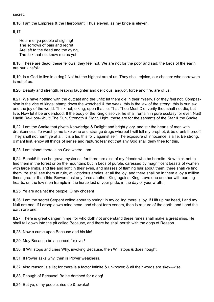secret.

II,16: I am the Empress & the Hierophant. Thus eleven, as my bride is eleven.

II,17:

Hear me, ye people of sighing! The sorrows of pain and regret Are left to the dead and the dying, The folk that not know me as yet.

II,18: These are dead, these fellows; they feel not. We are not for the poor and sad: the lords of the earth are our kinsfolk.

II,19: Is a God to live in a dog? No! but the highest are of us. They shall rejoice, our chosen: who sorroweth is not of us.

II,20: Beauty and strength, leaping laughter and delicious languor, force and fire, are of us.

II,21: We have nothing with the outcast and the unfit: let them die in their misery. For they feel not. Compassion is the vice of kings: stamp down the wretched & the weak: this is the law of the strong: this is our law and the joy of the world. Think not, o king, upon that lie: That Thou Must Die: verily thou shalt not die, but live. Now let it be understood: If the body of the King dissolve, he shall remain in pure ecstasy for ever. Nuit! Hadit! Ra-Hoor-Khuit! The Sun, Strength & Sight, Light; these are for the servants of the Star & the Snake.

II,22: I am the Snake that giveth Knowledge & Delight and bright glory, and stir the hearts of men with drunkenness. To worship me take wine and strange drugs whereof I will tell my prophet, & be drunk thereof! They shall not harm ye at all. It is a lie, this folly against self. The exposure of innocence is a lie. Be strong, o man! lust, enjoy all things of sense and rapture: fear not that any God shall deny thee for this.

II,23: I am alone: there is no God where I am.

II,24: Behold! these be grave mysteries; for there are also of my friends who be hermits. Now think not to find them in the forest or on the mountain; but in beds of purple, caressed by magnificent beasts of women with large limbs, and fire and light in their eyes, and masses of flaming hair about them; there shall ye find them. Ye shall see them at rule, at victorious armies, at all the joy; and there shall be in them a joy a million times greater than this. Beware lest any force another, King against King! Love one another with burning hearts; on the low men trample in the fierce lust of your pride, in the day of your wrath.

II,25: Ye are against the people, O my chosen!

II,26: I am the secret Serpent coiled about to spring: in my coiling there is joy. If I lift up my head, I and my Nuit are one. If I droop down mine head, and shoot forth venom, then is rapture of the earth, and I and the earth are one.

II,27: There is great danger in me; for who doth not understand these runes shall make a great miss. He shall fall down into the pit called Because, and there he shall perish with the dogs of Reason.

II,28: Now a curse upon Because and his kin!

- II,29: May Because be accursed for ever!
- II,30: If Will stops and cries Why, invoking Because, then Will stops & does nought.
- II,31: If Power asks why, then is Power weakness.
- II,32: Also reason is a lie; for there is a factor infinite & unknown; & all their words are skew-wise.
- II,33: Enough of Because! Be he damned for a dog!
- II,34: But ye, o my people, rise up & awake!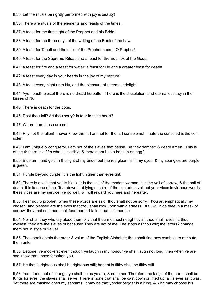II,35: Let the rituals be rightly performed with joy & beauty!

II,36: There are rituals of the elements and feasts of the times.

II,37: A feast for the first night of the Prophet and his Bride!

II,38: A feast for the three days of the writing of the Book of the Law.

II,39: A feast for Tahuti and the child of the Prophet-secret, O Prophet!

II,40: A feast for the Supreme Ritual, and a feast for the Equinox of the Gods.

II,41: A feast for fire and a feast for water; a feast for life and a greater feast for death!

II,42: A feast every day in your hearts in the joy of my rapture!

II,43: A feast every night unto Nu, and the pleasure of uttermost delight!

II,44: Aye! feast! rejoice! there is no dread hereafter. There is the dissolution, and eternal ecstasy in the kisses of Nu.

II,45: There is death for the dogs.

II,46: Dost thou fail? Art thou sorry? Is fear in thine heart?

II,47: Where I am these are not.

II,48: Pity not the fallen! I never knew them. I am not for them. I console not: I hate the consoled & the consoler.

II,49: I am unique & conqueror. I am not of the slaves that perish. Be they damned & dead! Amen. [This is of the 4: there is a fifth who is invisible, & therein am I as a babe in an egg.]

II,50: Blue am I and gold in the light of my bride: but the red gleam is in my eyes; & my spangles are purple & green.

II,51: Purple beyond purple: it is the light higher than eyesight.

II,52: There is a veil: that veil is black. It is the veil of the modest woman; it is the veil of sorrow, & the pall of death: this is none of me. Tear down that lying spectre of the centuries: veil not your vices in virtuous words: these vices are my service; ye do well, & I will reward you here and hereafter.

II,53: Fear not, o prophet, when these words are said, thou shalt not be sorry. Thou art emphatically my chosen; and blessed are the eyes that thou shalt look upon with gladness. But I will hide thee in a mask of sorrow: they that see thee shall fear thou art fallen: but I lift thee up.

II,54: Nor shall they who cry aloud their folly that thou meanest nought avail; thou shall reveal it: thou availest: they are the slaves of because: They are not of me. The stops as thou wilt; the letters? change them not in style or value!

II,55: Thou shalt obtain the order & value of the English Alphabet; thou shalt find new symbols to attribute them unto.

II,56: Begone! ye mockers; even though ye laugh in my honour ye shall laugh not long: then when ye are sad know that I have forsaken you.

II,57: He that is righteous shall be righteous still; he that is filthy shall be filthy still.

II,58: Yea! deem not of change: ye shall be as ye are, & not other. Therefore the kings of the earth shall be Kings for ever: the slaves shall serve. There is none that shall be cast down or lifted up: all is ever as it was. Yet there are masked ones my servants: it may be that yonder beggar is a King. A King may choose his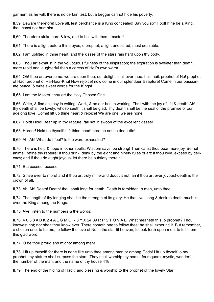garment as he will: there is no certain test: but a beggar cannot hide his poverty.

II,59: Beware therefore! Love all, lest perchance is a King concealed! Say you so? Fool! If he be a King, thou canst not hurt him.

II,60: Therefore strike hard & low, and to hell with them, master!

II,61: There is a light before thine eyes, o prophet, a light undesired, most desirable.

II,62: I am uplifted in thine heart; and the kisses of the stars rain hard upon thy body.

II,63: Thou art exhaust in the voluptuous fullness of the inspiration; the expiration is sweeter than death, more rapid and laughterful than a caress of Hell's own worm.

II,64: Oh! thou art overcome: we are upon thee; our delight is all over thee: hail! hail: prophet of Nu! prophet of Had! prophet of Ra-Hoor-Khu! Now rejoice! now come in our splendour & rapture! Come in our passionate peace, & write sweet words for the Kings!

II,65: I am the Master: thou art the Holy Chosen One.

II,66: Write, & find ecstasy in writing! Work, & be our bed in working! Thrill with the joy of life & death! Ah! thy death shall be lovely: whoso seeth it shall be glad. Thy death shall be the seal of the promise of our agelong love. Come! lift up thine heart & rejoice! We are one; we are none.

II,67: Hold! Hold! Bear up in thy rapture; fall not in swoon of the excellent kisses!

II,68: Harder! Hold up thyself! Lift thine head! breathe not so deep-die!

II,69: Ah! Ah! What do I feel? Is the word exhausted?

II,70: There is help & hope in other spells. Wisdom says: be strong! Then canst thou bear more joy. Be not animal; refine thy rapture! If thou drink, drink by the eight and ninety rules of art: if thou love, exceed by delicacy; and if thou do aught joyous, let there be subtlety therein!

II,71: But exceed! exceed!

II,72: Strive ever to more! and if thou art truly mine-and doubt it not, an if thou art ever joyous!-death is the crown of all.

II,73: Ah! Ah! Death! Death! thou shalt long for death. Death is forbidden, o man, unto thee.

II,74: The length of thy longing shall be the strength of its glory. He that lives long & desires death much is ever the King among the Kings.

II,75: Aye! listen to the numbers & the words:

II,76: 4 6 3 8 A B K 2 4 A L G M O R 3 Y X 24 89 R P S T O V A L. What meaneth this, o prophet? Thou knowest not; nor shalt thou know ever. There cometh one to follow thee: he shall expound it. But remember, o chosen one, to be me; to follow the love of Nu in the star-lit heaven; to look forth upon men, to tell them this glad word.

II,77: O be thou proud and mighty among men!

II,78: Lift up thyself! for there is none like unto thee among men or among Gods! Lift up thyself, o my prophet, thy stature shall surpass the stars. They shall worship thy name, foursquare, mystic, wonderful, the number of the man; and the name of thy house 418.

II,79: The end of the hiding of Hadit; and blessing & worship to the prophet of the lovely Star!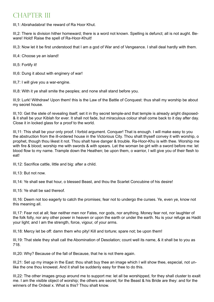## **CHAPTER III**

III,1: Abrahadabra! the reward of Ra Hoor Khut.

III,2: There is division hither homeward; there is a word not known. Spelling is defunct; all is not aught. Beware! Hold! Raise the spell of Ra-Hoor-Khuit!

III,3: Now let it be first understood that I am a god of War and of Vengeance. I shall deal hardly with them.

III,4: Choose ye an island!

III,5: Fortify it!

III,6: Dung it about with enginery of war!

III,7: I will give you a war-engine.

III,8: With it ye shall smite the peoples; and none shall stand before you.

III,9: Lurk! Withdraw! Upon them! this is the Law of the Battle of Conquest: thus shall my worship be about my secret house.

III,10: Get the stele of revealing itself; set it in thy secret temple-and that temple is already aright disposed- & it shall be your Kiblah for ever. It shall not fade, but miraculous colour shall come back to it day after day. Close it in locked glass for a proof to the world.

III,11: This shall be your only proof. I forbid argument. Conquer! That is enough. I will make easy to you the abstruction from the ill-ordered house in the Victorious City. Thou shalt thyself convey it with worship, o prophet, though thou likest it not. Thou shalt have danger & trouble. Ra-Hoor-Khu is with thee. Worship me with fire & blood; worship me with swords & with spears. Let the woman be girt with a sword before me: let blood flow to my name. Trample down the Heathen; be upon them, o warrior, I will give you of their flesh to eat!

III,12: Sacrifice cattle, little and big: after a child.

III,13: But not now.

III,14: Ye shall see that hour, o blessed Beast, and thou the Scarlet Concubine of his desire!

III,15: Ye shall be sad thereof.

III,16: Deem not too eagerly to catch the promises; fear not to undergo the curses. Ye, even ye, know not this meaning all.

III,17: Fear not at all; fear neither men nor Fates, nor gods, nor anything. Money fear not, nor laughter of the folk folly, nor any other power in heaven or upon the earth or under the earth. Nu is your refuge as Hadit your light; and I am the strength, force, vigour, of your arms.

III,18: Mercy let be off: damn them who pity! Kill and torture; spare not; be upon them!

III,19: That stele they shall call the Abomination of Desolation; count well its name, & it shall be to you as 718.

III,20: Why? Because of the fall of Because, that he is not there again.

III,21: Set up my image in the East: thou shalt buy thee an image which I will show thee, especial, not unlike the one thou knowest. And it shall be suddenly easy for thee to do this.

III,22: The other images group around me to support me: let all be worshipped, for they shall cluster to exalt me. I am the visible object of worship; the others are secret; for the Beast & his Bride are they: and for the winners of the Ordeal x. What is this? Thou shalt know.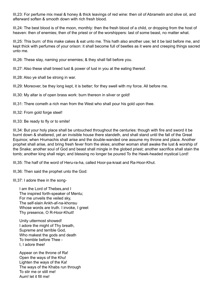III,23: For perfume mix meal & honey & thick leavings of red wine: then oil of Abramelin and olive oil, and afterward soften & smooth down with rich fresh blood.

III,24: The best blood is of the moon, monthly: then the fresh blood of a child, or dropping from the host of heaven: then of enemies; then of the priest or of the worshippers: last of some beast, no matter what.

III,25: This burn: of this make cakes & eat unto me. This hath also another use; let it be laid before me, and kept thick with perfumes of your orison: it shall become full of beetles as it were and creeping things sacred unto me.

III,26: These slay, naming your enemies; & they shall fall before you.

III,27: Also these shall breed lust & power of lust in you at the eating thereof.

III,28: Also ye shall be strong in war.

III,29: Moreover, be they long kept, it is better; for they swell with my force. All before me.

III,30: My altar is of open brass work: burn thereon in silver or gold!

III,31: There cometh a rich man from the West who shall pour his gold upon thee.

III,32: From gold forge steel!

III,33: Be ready to fly or to smite!

III,34: But your holy place shall be untouched throughout the centuries: though with fire and sword it be burnt down & shattered, yet an invisible house there standeth, and shall stand until the fall of the Great Equinox; when Hrumachis shall arise and the double-wanded one assume my throne and place. Another prophet shall arise, and bring fresh fever from the skies; another woman shall awake the lust & worship of the Snake; another soul of God and beast shall mingle in the globed priest; another sacrifice shall stain the tomb; another king shall reign; and blessing no longer be poured To the Hawk-headed mystical Lord!

III,35: The half of the word of Heru-ra-ha, called Hoor-pa-kraat and Ra-Hoor-Khut.

III,36: Then said the prophet unto the God:

III,37: I adore thee in the song-

I am the Lord of Thebes,and I The inspired forth-speaker of Mentu; For me unveils the veiled sky, The self-slain Ankh-af-na-khonsu Whose words are truth. I invoke, I greet Thy presence, O R-Hoor-Khuit!

Unity uttermost showed! I adore the might of Thy breath, Supreme and terrible God, Who makest the gods and death To tremble before Thee - I, I adore thee!

Appear on the throne of Ra! Open the ways of the Khu! Lighten the ways of the Ka! The ways of the Khabs run through To stir me or still me! Aum! let it fill me!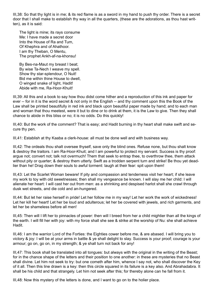III,38: So that thy light is in me; & its red flame is as a sword in my hand to push thy order. There is a secret door that I shall make to establish thy way in all the quarters, (these are the adorations, as thou hast written), as it is said:

The light is mine; its rays consume Me: I have made a secret door Into the House of Ra and Tum, Of Khephra and of Ahathoor. I am thy Theban, O Mentu, The prophet Ankh-af-na-khonsu!

By Bes-na-Maut my breast I beat; By wise Ta-Nech I weave my spell. Show thy star-splendour, O Nuit! Bid me within thine House to dwell, O winged snake of light, Hadit! Abide with me, Ra-Hoor-Khuit!

III,39: All this and a book to say how thou didst come hither and a reproduction of this ink and paper for ever -- for in it is the word secret & not only in the English -- and thy comment upon this the Book of the Law shall be printed beautifully in red ink and black upon beautiful paper made by hand; and to each man and woman that thou meetest, were it but to dine or to drink at them, it is the Law to give. Then they shall chance to abide in this bliss or no; it is no odds. Do this quickly!

III,40: But the work of the comment? That is easy; and Hadit burning in thy heart shall make swift and secure thy pen.

III,41: Establish at thy Kaaba a clerk-house: all must be done well and with business way.

III,42: The ordeals thou shalt oversee thyself, save only the blind ones. Refuse none, but thou shalt know & destroy the traitors. I am Ra-Hoor-Khuit; and I am powerful to protect my servant. Success is thy proof: argue not; convert not; talk not overmuch! Them that seek to entrap thee, to overthrow thee, them attack without pity or quarter; & destroy them utterly. Swift as a trodden serpent turn and strike! Be thou yet deadlier than he! Drag down their souls to awful torment: laugh at their fear: spit upon them!

III,43: Let the Scarlet Woman beware! If pity and compassion and tenderness visit her heart; if she leave my work to toy with old sweetnesses; then shall my vengeance be known. I will slay me her child: I will alienate her heart: I will cast her out from men: as a shrinking and despised harlot shall she crawl through dusk wet streets, and die cold and an-hungered.

III,44: But let her raise herself in pride! Let her follow me in my way! Let her work the work of wickedness! Let her kill her heart! Let her be loud and adulterous; let her be covered with jewels, and rich garments, and let her be shameless before all men!

III,45: Then will I lift her to pinnacles of power: then will I breed from her a child mightier than all the kings of the earth. I will fill her with joy: with my force shall she see & strike at the worship of Nu: she shall achieve Hadit.

III,46: I am the warrior Lord of the Forties: the Eighties cower before me, & are abased. I will bring you to victory & joy: I will be at your arms in battle & ye shall delight to slay. Success is your proof; courage is your armour; go on, go on, in my strength; & ye shall turn not back for any!

III,47: This book shall be translated into all tongues: but always with the original in the writing of the Beast; for in the chance shape of the letters and their position to one another: in these are mysteries that no Beast shall divine. Let him not seek to try: but one cometh after him, whence I say not, who shall discover the Key of it all. Then this line drawn is a key: then this circle squared in its failure is a key also. And Abrahadabra. It shall be his child and that strangely. Let him not seek after this; for thereby alone can he fall from it.

III,48: Now this mystery of the letters is done, and I want to go on to the holier place.